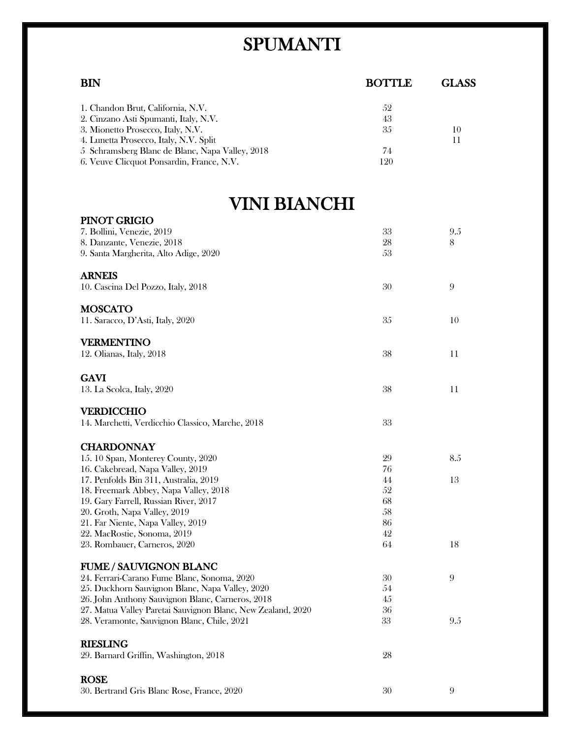## SPUMANTI

| <b>BIN</b>                                                                                     | <b>BOTTLE</b> | <b>GLASS</b> |
|------------------------------------------------------------------------------------------------|---------------|--------------|
|                                                                                                |               |              |
| 1. Chandon Brut, California, N.V.                                                              | 52            |              |
| 2. Cinzano Asti Spumanti, Italy, N.V.                                                          | 43            |              |
| 3. Mionetto Prosecco, Italy, N.V.                                                              | 35            | 10           |
| 4. Lunetta Prosecco, Italy, N.V. Split                                                         | 74            | 11           |
| 5 Schramsberg Blanc de Blanc, Napa Valley, 2018<br>6. Veuve Clicquot Ponsardin, France, N.V.   | 120           |              |
|                                                                                                |               |              |
| VINI BIANCHI                                                                                   |               |              |
| PINOT GRIGIO                                                                                   |               |              |
| 7. Bollini, Venezie, 2019                                                                      | 33            | 9.5          |
| 8. Danzante, Venezie, 2018                                                                     | 28            | 8            |
| 9. Santa Margherita, Alto Adige, 2020                                                          | 53            |              |
| <b>ARNEIS</b>                                                                                  |               |              |
| 10. Cascina Del Pozzo, Italy, 2018                                                             | 30            | 9            |
| <b>MOSCATO</b>                                                                                 |               |              |
| 11. Saracco, D'Asti, Italy, 2020                                                               | 35            | 10           |
| <b>VERMENTINO</b>                                                                              |               |              |
| 12. Olianas, Italy, 2018                                                                       | 38            | 11           |
|                                                                                                |               |              |
| <b>GAVI</b>                                                                                    |               |              |
| 13. La Scolca, Italy, 2020                                                                     | 38            | 11           |
| <b>VERDICCHIO</b>                                                                              |               |              |
| 14. Marchetti, Verdicchio Classico, Marche, 2018                                               | 33            |              |
| <b>CHARDONNAY</b>                                                                              |               |              |
| 15. 10 Span, Monterey County, 2020                                                             | 29            | 8.5          |
| 16. Cakebread, Napa Valley, 2019                                                               | 76            |              |
| 17. Penfolds Bin 311, Australia, 2019                                                          | 44            | 13           |
| 18. Freemark Abbey, Napa Valley, 2018                                                          | 52            |              |
| 19. Gary Farrell, Russian River, 2017                                                          | 68            |              |
| 20. Groth, Napa Valley, 2019                                                                   | 58            |              |
| 21. Far Niente, Napa Valley, 2019<br>22. MacRostie, Sonoma, 2019                               | 86<br>42      |              |
| 23. Rombauer, Carneros, 2020                                                                   | 64            | 18           |
|                                                                                                |               |              |
| <b>FUME / SAUVIGNON BLANC</b>                                                                  |               |              |
| 24. Ferrari-Carano Fume Blanc, Sonoma, 2020<br>25. Duckhorn Sauvignon Blanc, Napa Valley, 2020 | 30<br>54      | 9            |
| 26. John Anthony Sauvignon Blanc, Carneros, 2018                                               | 45            |              |
| 27. Matua Valley Paretai Sauvignon Blanc, New Zealand, 2020                                    | 36            |              |
| 28. Veramonte, Sauvignon Blanc, Chile, 2021                                                    | 33            | 9.5          |
| <b>RIESLING</b>                                                                                |               |              |
| 29. Barnard Griffin, Washington, 2018                                                          | 28            |              |
|                                                                                                |               |              |
| <b>ROSE</b>                                                                                    |               |              |
| 30. Bertrand Gris Blanc Rose, France, 2020                                                     | 30            | 9            |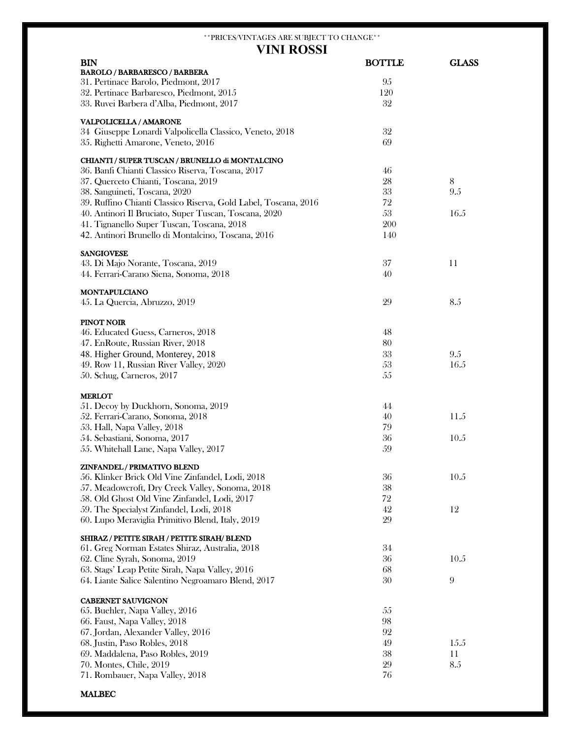## \*\*PRICES/VINTAGES ARE SUBJECT TO CHANGE\*\* **VINI ROSSI**

| <b>BIN</b>                                                      | <b>BOTTLE</b> | <b>GLASS</b> |
|-----------------------------------------------------------------|---------------|--------------|
| <b>BAROLO / BARBARESCO / BARBERA</b>                            |               |              |
| 31. Pertinace Barolo, Piedmont, 2017                            | 95            |              |
| 32. Pertinace Barbaresco, Piedmont, 2015                        | 120           |              |
| 33. Ruvei Barbera d'Alba, Piedmont, 2017                        | 32            |              |
| VALPOLICELLA / AMARONE                                          |               |              |
| 34 Giuseppe Lonardi Valpolicella Classico, Veneto, 2018         | 32            |              |
| 35. Righetti Amarone, Veneto, 2016                              | 69            |              |
|                                                                 |               |              |
| CHIANTI / SUPER TUSCAN / BRUNELLO di MONTALCINO                 |               |              |
| 36. Banfi Chianti Classico Riserva, Toscana, 2017               | 46            |              |
| 37. Querceto Chianti, Toscana, 2019                             | 28            | 8            |
| 38. Sanguineti, Toscana, 2020                                   | 33            | 9.5          |
| 39. Ruffino Chianti Classico Riserva, Gold Label, Toscana, 2016 | 72            |              |
| 40. Antinori Il Bruciato, Super Tuscan, Toscana, 2020           | 53            | 16.5         |
| 41. Tignanello Super Tuscan, Toscana, 2018                      | 200           |              |
| 42. Antinori Brunello di Montalcino, Toscana, 2016              | 140           |              |
| <b>SANGIOVESE</b>                                               |               |              |
| 43. Di Majo Norante, Toscana, 2019                              | 37            | 11           |
| 44. Ferrari-Carano Siena, Sonoma, 2018                          | 40            |              |
|                                                                 |               |              |
| <b>MONTAPULCIANO</b>                                            |               |              |
| 45. La Quercia, Abruzzo, 2019                                   | 29            | 8.5          |
| PINOT NOIR                                                      |               |              |
| 46. Educated Guess, Carneros, 2018                              | 48            |              |
| 47. EnRoute, Russian River, 2018                                | 80            |              |
| 48. Higher Ground, Monterey, 2018                               | 33            | 9.5          |
| 49. Row 11, Russian River Valley, 2020                          | 53            | 16.5         |
| 50. Schug, Carneros, 2017                                       | 55            |              |
|                                                                 |               |              |
| <b>MERLOT</b>                                                   |               |              |
| 51. Decoy by Duckhorn, Sonoma, 2019                             | 44            |              |
| 52. Ferrari-Carano, Sonoma, 2018                                | 40            | 11.5         |
| 53. Hall, Napa Valley, 2018                                     | 79            |              |
| 54. Sebastiani, Sonoma, 2017                                    | 36            | 10.5         |
| 55. Whitehall Lane, Napa Valley, 2017                           | 59            |              |
| ZINFANDEL / PRIMATIVO BLEND                                     |               |              |
| 56. Klinker Brick Old Vine Zinfandel, Lodi, 2018                | 36            | 10.5         |
| 57. Meadowcroft, Dry Creek Valley, Sonoma, 2018                 | 38            |              |
| 58. Old Ghost Old Vine Zinfandel, Lodi, 2017                    | 72            |              |
| 59. The Specialyst Zinfandel, Lodi, 2018                        | 42            | 12           |
| 60. Lupo Meraviglia Primitivo Blend, Italy, 2019                | 29            |              |
|                                                                 |               |              |
| SHIRAZ / PETITE SIRAH / PETITE SIRAH/ BLEND                     |               |              |
| 61. Greg Norman Estates Shiraz, Australia, 2018                 | 34            |              |
| 62. Cline Syrah, Sonoma, 2019                                   | 36            | 10.5         |
| 63. Stags' Leap Petite Sirah, Napa Valley, 2016                 | 68            |              |
| 64. Liante Salice Salentino Negroamaro Blend, 2017              | 30            | 9            |
| <b>CABERNET SAUVIGNON</b>                                       |               |              |
| 65. Buehler, Napa Valley, 2016                                  | 55            |              |
| 66. Faust, Napa Valley, 2018                                    | 98            |              |
| 67. Jordan, Alexander Valley, 2016                              | 92            |              |
| 68. Justin, Paso Robles, 2018                                   | 49            | 15.5         |
| 69. Maddalena, Paso Robles, 2019                                | 38            | 11           |
| 70. Montes, Chile, 2019                                         | 29            | 8.5          |
| 71. Rombauer, Napa Valley, 2018                                 | 76            |              |
|                                                                 |               |              |

## MALBEC